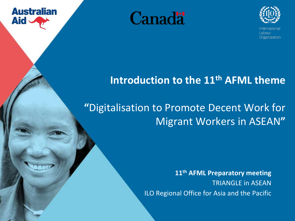

Labour Organization

**Canadä** 

**Australian** 

**Aid** 

# **Introduction to the 11th AFML theme**

## **"**Digitalisation to Promote Decent Work for Migrant Workers in ASEAN**"**

**11th AFML Preparatory meeting**  TRIANGLE in ASEAN

ILO Regional Office for Asia and the Pacific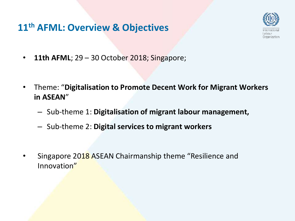#### **11th AFML: Overview & Objectives**



- **11th AFML**; 29 30 October 2018; Singapore;
- Theme: "**Digitalisation to Promote Decent Work for Migrant Workers in ASEAN**"
	- Sub-theme 1: **Digitalisation of migrant labour management,**
	- Sub-theme 2: **Digital services to migrant workers**
- Singapore 2018 ASEAN Chairmanship theme "Resilience and Innovation"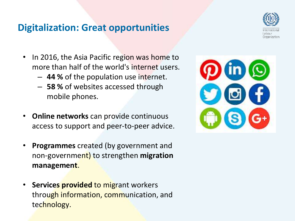#### **Digitalization: Great opportunities**



- In 2016, the Asia Pacific region was home to more than half of the world's internet users.
	- **44 %** of the population use internet.
	- **58 %** of websites accessed through mobile phones.
- **Online networks** can provide continuous access to support and peer-to-peer advice.
- **Programmes** created (by government and non-government) to strengthen **migration management**.
- **Services provided** to migrant workers through information, communication, and technology.

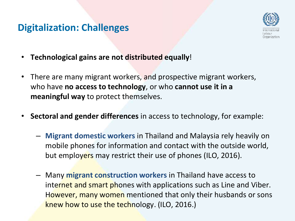#### **Digitalization: Challenges**



- **Technological gains are not distributed equally**!
- There are many migrant workers, and prospective migrant workers, who have **no access to technology**, or who **cannot use it in a meaningful way** to protect themselves.
- **Sectoral and gender differences** in access to technology, for example:
	- **Migrant domestic workers** in Thailand and Malaysia rely heavily on mobile phones for information and contact with the outside world, but employers may restrict their use of phones (ILO, 2016).
	- Many **migrant construction workers** in Thailand have access to internet and smart phones with applications such as Line and Viber. However, many women mentioned that only their husbands or sons knew how to use the technology. (ILO, 2016.)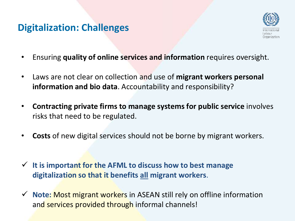#### **Digitalization: Challenges**



- Ensuring **quality of online services and information** requires oversight.
- Laws are not clear on collection and use of **migrant workers personal information and bio data**. Accountability and responsibility?
- **Contracting private firms to manage systems for public service** involves risks that need to be regulated.
- **Costs** of new digital services should not be borne by migrant workers.
- **It is important for the AFML to discuss how to best manage digitalization so that it benefits all migrant workers**.
- **★ Note: Most migrant workers in ASEAN still rely on offline information** and services provided through informal channels!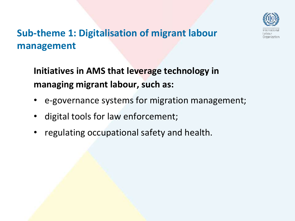

### **Sub-theme 1: Digitalisation of migrant labour management**

**Initiatives in AMS that leverage technology in managing migrant labour, such as:** 

- e-governance systems for migration management;
- digital tools for law enforcement;
- regulating occupational safety and health.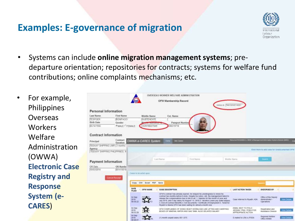#### **Examples: E-governance of migration**



- Systems can include **online migration management systems**; predeparture orientation; repositories for contracts; systems for welfare fund contributions; online complaints mechanisms; etc.
- For example, Philippines **Overseas Workers** Welfare Administration (OWWA) **Electronic Case Registry and Response System (e-CARES**)

|                              |                                                                  |                                   |                                              | OVERSEAS WORKER WELFARE ADMINISTRATION<br>OFW Membership Record |                                                                                                                                                                                                                                                                                                                                                                                                                                                                                                                  | GWWA (D) TRIST033201400011                                                    |                                                       |                       |
|------------------------------|------------------------------------------------------------------|-----------------------------------|----------------------------------------------|-----------------------------------------------------------------|------------------------------------------------------------------------------------------------------------------------------------------------------------------------------------------------------------------------------------------------------------------------------------------------------------------------------------------------------------------------------------------------------------------------------------------------------------------------------------------------------------------|-------------------------------------------------------------------------------|-------------------------------------------------------|-----------------------|
| Personal Information         |                                                                  |                                   |                                              |                                                                 |                                                                                                                                                                                                                                                                                                                                                                                                                                                                                                                  |                                                                               |                                                       |                       |
| <b>Last Name</b>             | First Name                                                       |                                   | Middle Name                                  | Ext. Name                                                       |                                                                                                                                                                                                                                                                                                                                                                                                                                                                                                                  |                                                                               |                                                       |                       |
| <b>TESPOER</b><br>Birth Date | <b>BONFACIO</b><br>Gender                                        |                                   | <b>SUBTENENTE</b><br><b>Market Humbergam</b> | Pausport Number                                                 |                                                                                                                                                                                                                                                                                                                                                                                                                                                                                                                  |                                                                               |                                                       |                       |
| 05/14/1956                   | <b><i>GMALE CEEMALE</i></b>                                      |                                   | +639196227049                                | B6519718                                                        |                                                                                                                                                                                                                                                                                                                                                                                                                                                                                                                  |                                                                               |                                                       |                       |
| <b>Contract Information</b>  |                                                                  |                                   |                                              |                                                                 |                                                                                                                                                                                                                                                                                                                                                                                                                                                                                                                  |                                                                               |                                                       |                       |
| Principal                    | Contract<br>Duration                                             |                                   | <b>OWWA e-CARES System</b>                   | <b>KIW Cates</b><br><b>Home</b>                                 |                                                                                                                                                                                                                                                                                                                                                                                                                                                                                                                  | Welcomet RODARIKA G. TIPOV, strilanogometti innorusken Sistem Olyason (MISO). |                                                       | ь                     |
| Agency                       | TEEKAY SHPPING LIMIT 3 months<br>TEEKAY SHIPPING PHILIPPINES. IN |                                   |                                              |                                                                 |                                                                                                                                                                                                                                                                                                                                                                                                                                                                                                                  |                                                                               | Click Here to add case for Undocumented OPW           |                       |
| <b>Payment Information</b>   |                                                                  | <b>Culd Name</b>                  |                                              |                                                                 | First Name                                                                                                                                                                                                                                                                                                                                                                                                                                                                                                       | Middia Nama                                                                   | <b>THEFT</b>                                          |                       |
| OR Dide<br>10/03/2014        | OR Numbe<br>001410018                                            |                                   |                                              |                                                                 |                                                                                                                                                                                                                                                                                                                                                                                                                                                                                                                  |                                                                               |                                                       |                       |
|                              | <b>Cancel Receipt</b>                                            | Савет то се астеп крои            |                                              |                                                                 |                                                                                                                                                                                                                                                                                                                                                                                                                                                                                                                  |                                                                               |                                                       |                       |
|                              |                                                                  |                                   | Copy CSV Excel PDF                           | <b>Save</b>                                                     |                                                                                                                                                                                                                                                                                                                                                                                                                                                                                                                  |                                                                               | <b>Base</b>                                           |                       |
|                              |                                                                  | <b>DATE</b><br><b>FILED</b>       | <b>OFW NAME</b>                              | CASE DESCRIPTION                                                |                                                                                                                                                                                                                                                                                                                                                                                                                                                                                                                  | <b>LAST ACTION TAKEN</b>                                                      | <b>ENDORSED BY</b>                                    |                       |
|                              |                                                                  | D.I Sep<br>2918<br>00:58:22       |                                              |                                                                 | OFVI's contract has already expired. He relayed his unwillingness to renew his<br>contract two months before it ends. Despite his collice, still, the management failed to<br>release the componsations due to him to wit 1 Balanes for the month of June and<br>July 2015, and 5 day salary for August 1-5, 2018 2, Vacation Leave pay (bate) adjace)<br>3 End of Contract Benefits 4. Ent documents / Certificate of Employment 5. Ticket for<br>Reyach to Manila OFW has been waiting for alread a month now. | Case referred to Rivath, KSA.                                                 | Office of the Deputy<br>Administrator-<br>Coerplices. | <b>Very Circledge</b> |
|                              |                                                                  | <b>D4 Sep</b><br>2019<br>00.55.20 |                                              |                                                                 | OFW CONPLAINING OF DONG HEAVY WORKLOAD LIKE LIFTING AND CARRYING.<br>BOXES OF MINERAL WATER AND GAS TANK, ALSO DELAYED SALARY                                                                                                                                                                                                                                                                                                                                                                                    | EMAL SENT TO POLO<br>JEDDAH / PRA / POEA FOR<br>APPROPRIATE ACTION.           | Repathation and<br>Assistance Division                | <b>View Getaes</b>    |
|                              |                                                                  | 04 Sep<br>2018                    |                                              | (1) month unpaid sayary SR 1.875.                               |                                                                                                                                                                                                                                                                                                                                                                                                                                                                                                                  | E-maked to LRA cc:POEA                                                        | Regional Wetare                                       | <b>View Getain</b>    |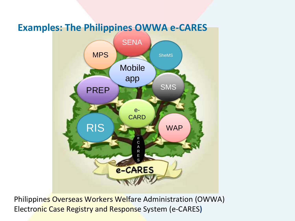#### **Examples: The Philippines OWWA e-CARES**



Philippines Overseas Workers Welfare Administration (OWWA) Electronic Case Registry and Response System (e-CARES**)**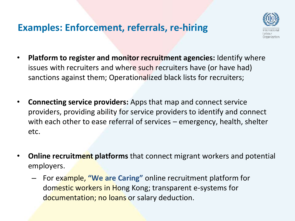#### **Examples: Enforcement, referrals, re-hiring**



- **Platform to register and monitor recruitment agencies:** Identify where issues with recruiters and where such recruiters have (or have had) sanctions against them; Operationalized black lists for recruiters;
- **Connecting service providers:** Apps that map and connect service providers, providing ability for service providers to identify and connect with each other to ease referral of services – emergency, health, shelter etc.
- **Online recruitment platforms** that connect migrant workers and potential employers.
	- For example, **"We are Caring"** online recruitment platform for domestic workers in Hong Kong; transparent e-systems for documentation; no loans or salary deduction.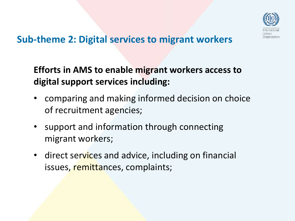

#### **Sub-theme 2: Digital services to migrant workers**

#### **Efforts in AMS to enable migrant workers access to digital support services including:**

- comparing and making informed decision on choice of recruitment agencies;
- support and information through connecting migrant workers;
- direct services and advice, including on financial issues, remittances, complaints;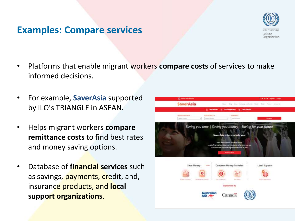#### **Examples: Compare services**



- Platforms that enable migrant workers **compare costs** of services to make informed decisions.
- For example, **SaverAsia** supported by ILO's TRIANGLE in ASEAN.
- Helps migrant workers **compare remittance costs** to find best rates and money saving options.
- Database of **financial services** such as savings, payments, credit, and, insurance products, and **local support organizations**.

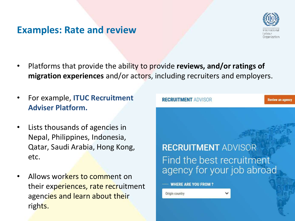#### **Examples: Rate and review**



- Platforms that provide the ability to provide **reviews, and/or ratings of migration experiences** and/or actors, including recruiters and employers.
- For example, **ITUC Recruitment Adviser Platform.**
- Lists thousands of agencies in Nepal, Philippines, Indonesia, Qatar, Saudi Arabia, Hong Kong, etc.
- Allows workers to comment on their experiences, rate recruitment agencies and learn about their rights.

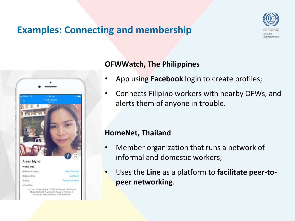#### **Examples: Connecting and membership**





#### **OFWWatch, The Philippines**

- App using **Facebook** login to create profiles;
- Connects Filipino workers with nearby OFWs, and alerts them of anyone in trouble.

#### **HomeNet, Thailand**

- Member organization that runs a network of informal and domestic workers;
- Uses the **Line** as a platform to **facilitate peer-topeer networking**.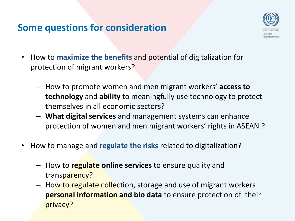#### **Some questions for consideration**



- How to **maximize the benefits** and potential of digitalization for protection of migrant workers?
	- How to promote women and men migrant workers' **access to technology** and **ability** to meaningfully use technology to protect themselves in all economic sectors?
	- **What digital services** and management systems can enhance protection of women and men migrant workers' rights in ASEAN ?
- How to manage and **regulate the risks** related to digitalization?
	- How to **regulate online services** to ensure quality and transparency?
	- How to regulate collection, storage and use of migrant workers **personal information and bio data** to ensure protection of their privacy?